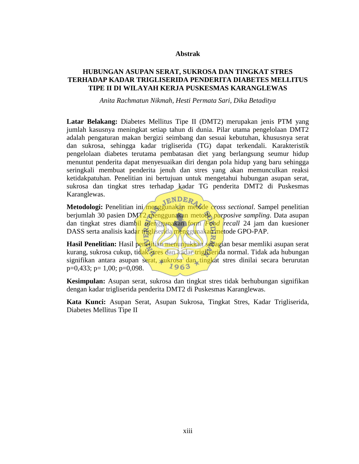### **Abstrak**

## **HUBUNGAN ASUPAN SERAT, SUKROSA DAN TINGKAT STRES TERHADAP KADAR TRIGLISERIDA PENDERITA DIABETES MELLITUS TIPE II DI WILAYAH KERJA PUSKESMAS KARANGLEWAS**

*Anita Rachmatun Nikmah, Hesti Permata Sari, Dika Betaditya*

**Latar Belakang:** Diabetes Mellitus Tipe II (DMT2) merupakan jenis PTM yang jumlah kasusnya meningkat setiap tahun di dunia. Pilar utama pengelolaan DMT2 adalah pengaturan makan bergizi seimbang dan sesuai kebutuhan, khususnya serat dan sukrosa, sehingga kadar trigliserida (TG) dapat terkendali. Karakteristik pengelolaan diabetes terutama pembatasan diet yang berlangsung seumur hidup menuntut penderita dapat menyesuaikan diri dengan pola hidup yang baru sehingga seringkali membuat penderita jenuh dan stres yang akan memunculkan reaksi ketidakpatuhan. Penelitian ini bertujuan untuk mengetahui hubungan asupan serat, sukrosa dan tingkat stres terhadap kadar TG penderita DMT2 di Puskesmas Karanglewas.

**Metodologi:** Penelitian ini menggunakan metode *cross sectional*. Sampel penelitian berjumlah 30 pasien DMT2 menggunakan metode *purposive sampling*. Data asupan dan tingkat stres diambil menggunakan form *Food recall* 24 jam dan kuesioner DASS serta analisis kadar trigliserida menggunakan metode GPO-PAP.

**Hasil Penelitian:** Hasil penelitian menunjukkan sebagian besar memliki asupan serat kurang, sukrosa cukup, tidak stres dan kadar trigliserida normal. Tidak ada hubungan signifikan antara asupan serat, sukrosa dan tingkat stres dinilai secara berurutan 1963  $p=0,433$ ;  $p=1,00$ ;  $p=0,098$ .

**Kesimpulan:** Asupan serat, sukrosa dan tingkat stres tidak berhubungan signifikan dengan kadar trigliserida penderita DMT2 di Puskesmas Karanglewas.

**Kata Kunci:** Asupan Serat, Asupan Sukrosa, Tingkat Stres, Kadar Trigliserida, Diabetes Mellitus Tipe II